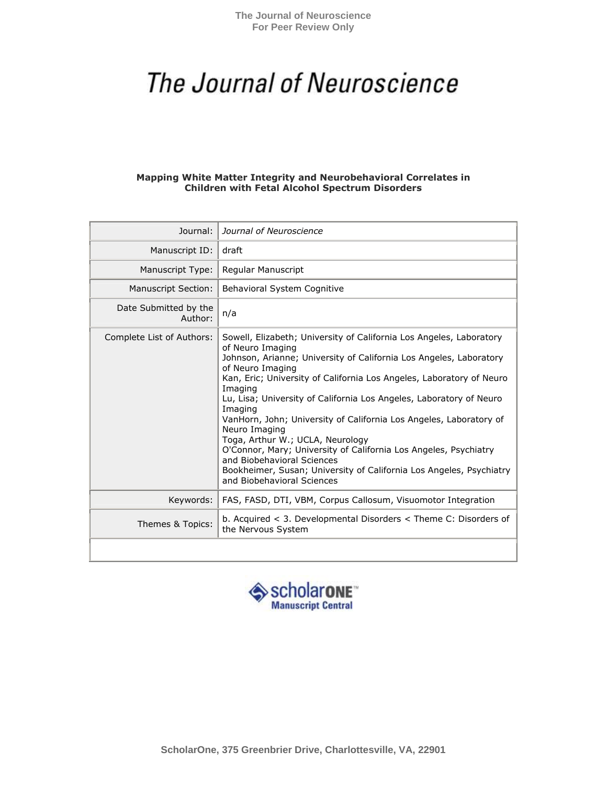**The Journal of Neuroscience For Peer Review Only**

# The Journal of Neuroscience

#### **Mapping White Matter Integrity and Neurobehavioral Correlates in Children with Fetal Alcohol Spectrum Disorders**

| Journal:                         | Journal of Neuroscience                                                                                                                                                                                                                                                                                                                                                                                                                                                                                                                                                                                                                                                                  |
|----------------------------------|------------------------------------------------------------------------------------------------------------------------------------------------------------------------------------------------------------------------------------------------------------------------------------------------------------------------------------------------------------------------------------------------------------------------------------------------------------------------------------------------------------------------------------------------------------------------------------------------------------------------------------------------------------------------------------------|
| Manuscript ID:                   | draft                                                                                                                                                                                                                                                                                                                                                                                                                                                                                                                                                                                                                                                                                    |
| Manuscript Type:                 | Regular Manuscript                                                                                                                                                                                                                                                                                                                                                                                                                                                                                                                                                                                                                                                                       |
| <b>Manuscript Section:</b>       | Behavioral System Cognitive                                                                                                                                                                                                                                                                                                                                                                                                                                                                                                                                                                                                                                                              |
| Date Submitted by the<br>Author: | n/a                                                                                                                                                                                                                                                                                                                                                                                                                                                                                                                                                                                                                                                                                      |
| Complete List of Authors:        | Sowell, Elizabeth; University of California Los Angeles, Laboratory<br>of Neuro Imaging<br>Johnson, Arianne; University of California Los Angeles, Laboratory<br>of Neuro Imaging<br>Kan, Eric; University of California Los Angeles, Laboratory of Neuro<br>Imaging<br>Lu, Lisa; University of California Los Angeles, Laboratory of Neuro<br>Imaging<br>VanHorn, John; University of California Los Angeles, Laboratory of<br>Neuro Imaging<br>Toga, Arthur W.; UCLA, Neurology<br>O'Connor, Mary; University of California Los Angeles, Psychiatry<br>and Biobehavioral Sciences<br>Bookheimer, Susan; University of California Los Angeles, Psychiatry<br>and Biobehavioral Sciences |
| Keywords:                        | FAS, FASD, DTI, VBM, Corpus Callosum, Visuomotor Integration                                                                                                                                                                                                                                                                                                                                                                                                                                                                                                                                                                                                                             |
| Themes & Topics:                 | b. Acquired $<$ 3. Developmental Disorders $<$ Theme C: Disorders of<br>the Nervous System                                                                                                                                                                                                                                                                                                                                                                                                                                                                                                                                                                                               |
|                                  |                                                                                                                                                                                                                                                                                                                                                                                                                                                                                                                                                                                                                                                                                          |

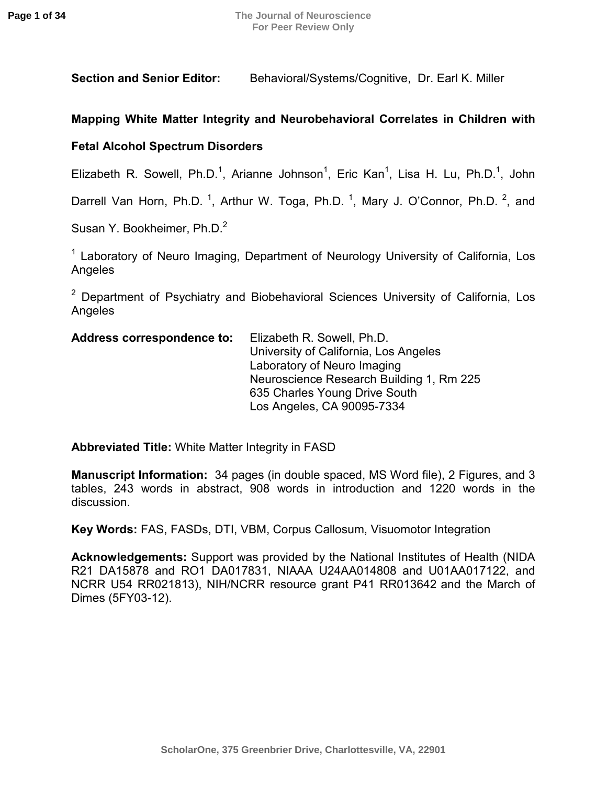**Section and Senior Editor:** Behavioral/Systems/Cognitive, Dr. Earl K. Miller

# **Mapping White Matter Integrity and Neurobehavioral Correlates in Children with**

# **Fetal Alcohol Spectrum Disorders**

Elizabeth R. Sowell, Ph.D.<sup>1</sup>, Arianne Johnson<sup>1</sup>, Eric Kan<sup>1</sup>, Lisa H. Lu, Ph.D.<sup>1</sup>, John

Darrell Van Horn, Ph.D.<sup>1</sup>, Arthur W. Toga, Ph.D.<sup>1</sup>, Mary J. O'Connor, Ph.D.<sup>2</sup>, and

Susan Y. Bookheimer, Ph.D.<sup>2</sup>

 $1$  Laboratory of Neuro Imaging, Department of Neurology University of California, Los Angeles

<sup>2</sup> Department of Psychiatry and Biobehavioral Sciences University of California, Los Angeles

| <b>Address correspondence to:</b> | Elizabeth R. Sowell, Ph.D.               |
|-----------------------------------|------------------------------------------|
|                                   | University of California, Los Angeles    |
|                                   | Laboratory of Neuro Imaging              |
|                                   | Neuroscience Research Building 1, Rm 225 |
|                                   | 635 Charles Young Drive South            |
|                                   | Los Angeles, CA 90095-7334               |

**Abbreviated Title:** White Matter Integrity in FASD

**Manuscript Information:** 34 pages (in double spaced, MS Word file), 2 Figures, and 3 tables, 243 words in abstract, 908 words in introduction and 1220 words in the discussion.

**Key Words:** FAS, FASDs, DTI, VBM, Corpus Callosum, Visuomotor Integration

**Acknowledgements:** Support was provided by the National Institutes of Health (NIDA R21 DA15878 and RO1 DA017831, NIAAA U24AA014808 and U01AA017122, and NCRR U54 RR021813), NIH/NCRR resource grant P41 RR013642 and the March of Dimes (5FY03-12).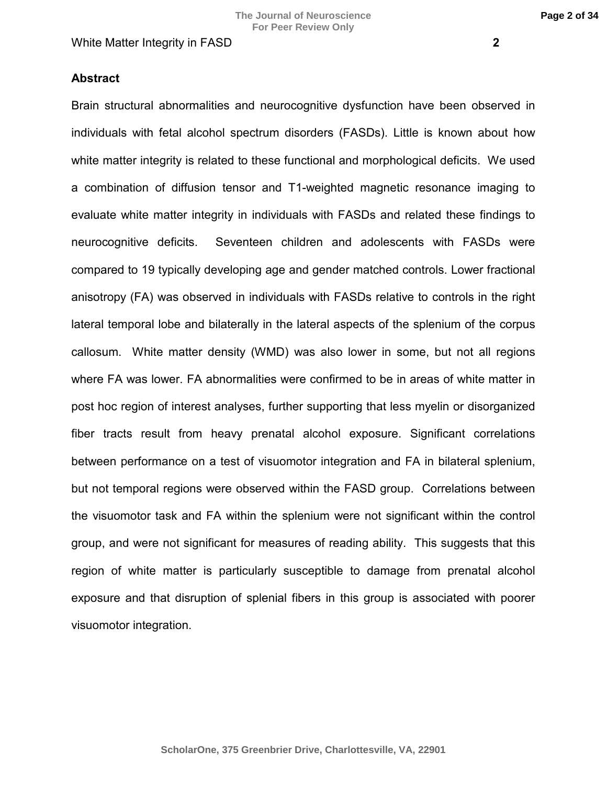#### **Abstract**

Brain structural abnormalities and neurocognitive dysfunction have been observed in individuals with fetal alcohol spectrum disorders (FASDs). Little is known about how white matter integrity is related to these functional and morphological deficits. We used a combination of diffusion tensor and T1-weighted magnetic resonance imaging to evaluate white matter integrity in individuals with FASDs and related these findings to neurocognitive deficits. Seventeen children and adolescents with FASDs were compared to 19 typically developing age and gender matched controls. Lower fractional anisotropy (FA) was observed in individuals with FASDs relative to controls in the right lateral temporal lobe and bilaterally in the lateral aspects of the splenium of the corpus callosum. White matter density (WMD) was also lower in some, but not all regions where FA was lower. FA abnormalities were confirmed to be in areas of white matter in post hoc region of interest analyses, further supporting that less myelin or disorganized fiber tracts result from heavy prenatal alcohol exposure. Significant correlations between performance on a test of visuomotor integration and FA in bilateral splenium, but not temporal regions were observed within the FASD group. Correlations between the visuomotor task and FA within the splenium were not significant within the control group, and were not significant for measures of reading ability. This suggests that this region of white matter is particularly susceptible to damage from prenatal alcohol exposure and that disruption of splenial fibers in this group is associated with poorer visuomotor integration.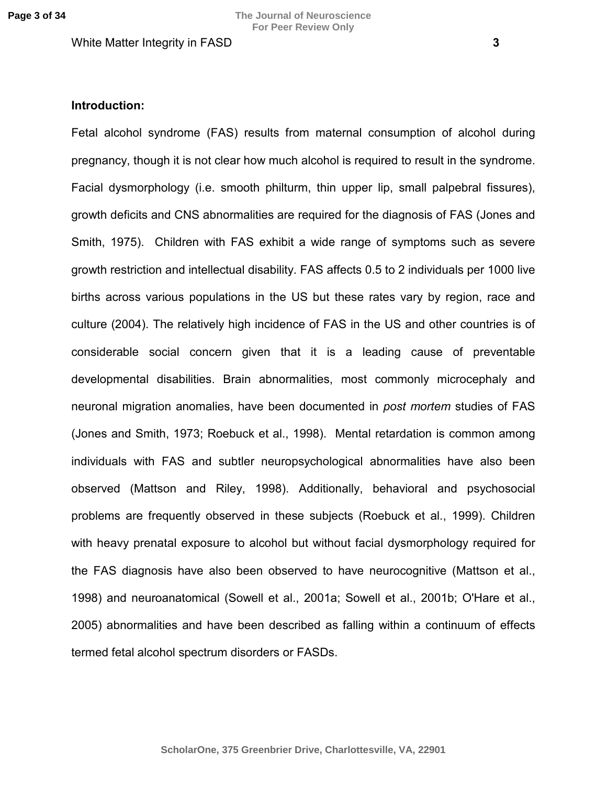#### **Introduction:**

Fetal alcohol syndrome (FAS) results from maternal consumption of alcohol during pregnancy, though it is not clear how much alcohol is required to result in the syndrome. Facial dysmorphology (i.e. smooth philturm, thin upper lip, small palpebral fissures), growth deficits and CNS abnormalities are required for the diagnosis of FAS (Jones and Smith, 1975). Children with FAS exhibit a wide range of symptoms such as severe growth restriction and intellectual disability. FAS affects 0.5 to 2 individuals per 1000 live births across various populations in the US but these rates vary by region, race and culture (2004). The relatively high incidence of FAS in the US and other countries is of considerable social concern given that it is a leading cause of preventable developmental disabilities. Brain abnormalities, most commonly microcephaly and neuronal migration anomalies, have been documented in *post mortem* studies of FAS (Jones and Smith, 1973; Roebuck et al., 1998). Mental retardation is common among individuals with FAS and subtler neuropsychological abnormalities have also been observed (Mattson and Riley, 1998). Additionally, behavioral and psychosocial problems are frequently observed in these subjects (Roebuck et al., 1999). Children with heavy prenatal exposure to alcohol but without facial dysmorphology required for the FAS diagnosis have also been observed to have neurocognitive (Mattson et al., 1998) and neuroanatomical (Sowell et al., 2001a; Sowell et al., 2001b; O'Hare et al., 2005) abnormalities and have been described as falling within a continuum of effects termed fetal alcohol spectrum disorders or FASDs.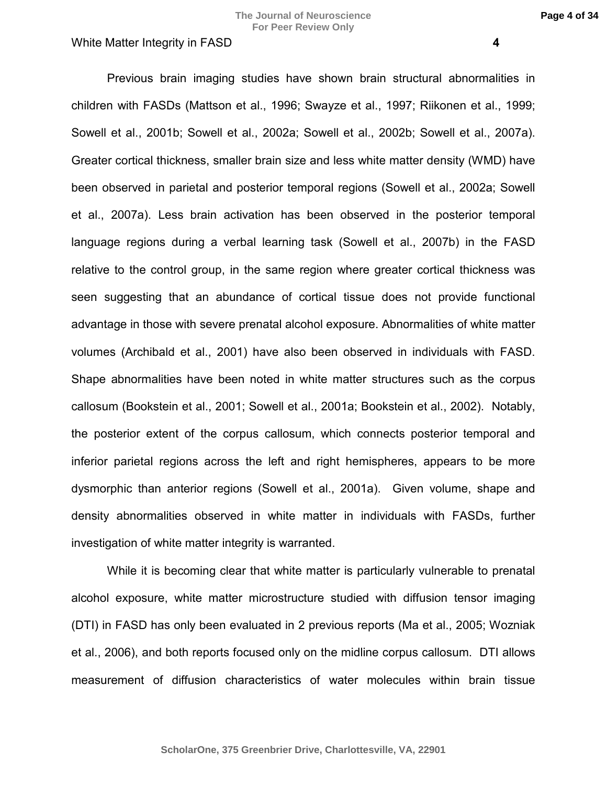Previous brain imaging studies have shown brain structural abnormalities in children with FASDs (Mattson et al., 1996; Swayze et al., 1997; Riikonen et al., 1999; Sowell et al., 2001b; Sowell et al., 2002a; Sowell et al., 2002b; Sowell et al., 2007a). Greater cortical thickness, smaller brain size and less white matter density (WMD) have been observed in parietal and posterior temporal regions (Sowell et al., 2002a; Sowell et al., 2007a). Less brain activation has been observed in the posterior temporal language regions during a verbal learning task (Sowell et al., 2007b) in the FASD relative to the control group, in the same region where greater cortical thickness was seen suggesting that an abundance of cortical tissue does not provide functional advantage in those with severe prenatal alcohol exposure. Abnormalities of white matter volumes (Archibald et al., 2001) have also been observed in individuals with FASD. Shape abnormalities have been noted in white matter structures such as the corpus callosum (Bookstein et al., 2001; Sowell et al., 2001a; Bookstein et al., 2002). Notably, the posterior extent of the corpus callosum, which connects posterior temporal and inferior parietal regions across the left and right hemispheres, appears to be more dysmorphic than anterior regions (Sowell et al., 2001a). Given volume, shape and density abnormalities observed in white matter in individuals with FASDs, further investigation of white matter integrity is warranted.

While it is becoming clear that white matter is particularly vulnerable to prenatal alcohol exposure, white matter microstructure studied with diffusion tensor imaging (DTI) in FASD has only been evaluated in 2 previous reports (Ma et al., 2005; Wozniak et al., 2006), and both reports focused only on the midline corpus callosum. DTI allows measurement of diffusion characteristics of water molecules within brain tissue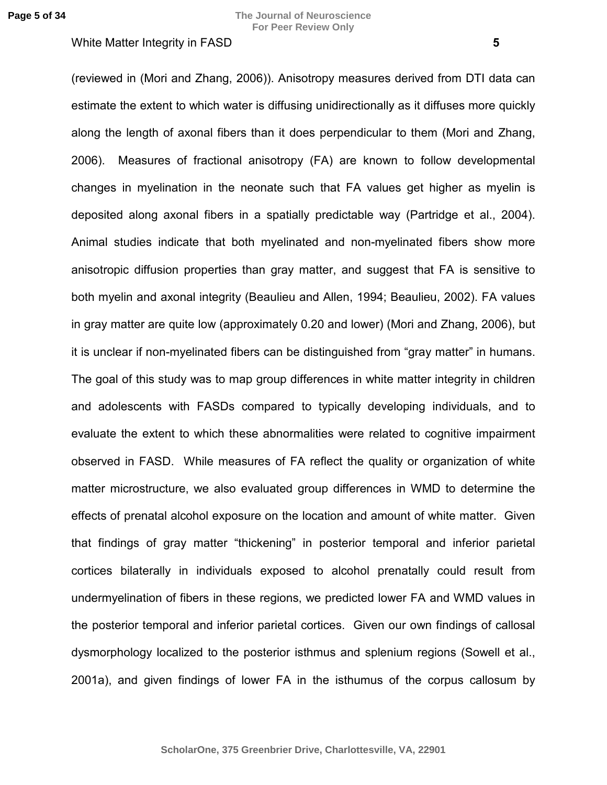(reviewed in (Mori and Zhang, 2006)). Anisotropy measures derived from DTI data can estimate the extent to which water is diffusing unidirectionally as it diffuses more quickly along the length of axonal fibers than it does perpendicular to them (Mori and Zhang, 2006). Measures of fractional anisotropy (FA) are known to follow developmental changes in myelination in the neonate such that FA values get higher as myelin is deposited along axonal fibers in a spatially predictable way (Partridge et al., 2004). Animal studies indicate that both myelinated and non-myelinated fibers show more anisotropic diffusion properties than gray matter, and suggest that FA is sensitive to both myelin and axonal integrity (Beaulieu and Allen, 1994; Beaulieu, 2002). FA values in gray matter are quite low (approximately 0.20 and lower) (Mori and Zhang, 2006), but it is unclear if non-myelinated fibers can be distinguished from "gray matter" in humans. The goal of this study was to map group differences in white matter integrity in children and adolescents with FASDs compared to typically developing individuals, and to evaluate the extent to which these abnormalities were related to cognitive impairment observed in FASD. While measures of FA reflect the quality or organization of white matter microstructure, we also evaluated group differences in WMD to determine the effects of prenatal alcohol exposure on the location and amount of white matter. Given that findings of gray matter "thickening" in posterior temporal and inferior parietal cortices bilaterally in individuals exposed to alcohol prenatally could result from undermyelination of fibers in these regions, we predicted lower FA and WMD values in the posterior temporal and inferior parietal cortices. Given our own findings of callosal dysmorphology localized to the posterior isthmus and splenium regions (Sowell et al., 2001a), and given findings of lower FA in the isthumus of the corpus callosum by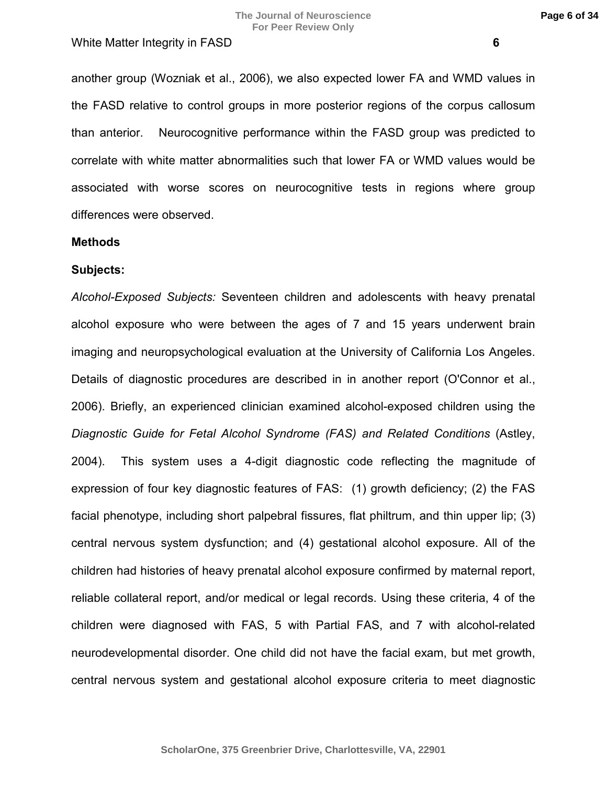another group (Wozniak et al., 2006), we also expected lower FA and WMD values in the FASD relative to control groups in more posterior regions of the corpus callosum than anterior. Neurocognitive performance within the FASD group was predicted to correlate with white matter abnormalities such that lower FA or WMD values would be associated with worse scores on neurocognitive tests in regions where group differences were observed.

#### **Methods**

#### **Subjects:**

*Alcohol-Exposed Subjects:* Seventeen children and adolescents with heavy prenatal alcohol exposure who were between the ages of 7 and 15 years underwent brain imaging and neuropsychological evaluation at the University of California Los Angeles. Details of diagnostic procedures are described in in another report (O'Connor et al., 2006). Briefly, an experienced clinician examined alcohol-exposed children using the *Diagnostic Guide for Fetal Alcohol Syndrome (FAS) and Related Conditions* (Astley, 2004). This system uses a 4-digit diagnostic code reflecting the magnitude of expression of four key diagnostic features of FAS: (1) growth deficiency; (2) the FAS facial phenotype, including short palpebral fissures, flat philtrum, and thin upper lip; (3) central nervous system dysfunction; and (4) gestational alcohol exposure. All of the children had histories of heavy prenatal alcohol exposure confirmed by maternal report, reliable collateral report, and/or medical or legal records. Using these criteria, 4 of the children were diagnosed with FAS, 5 with Partial FAS, and 7 with alcohol-related neurodevelopmental disorder. One child did not have the facial exam, but met growth, central nervous system and gestational alcohol exposure criteria to meet diagnostic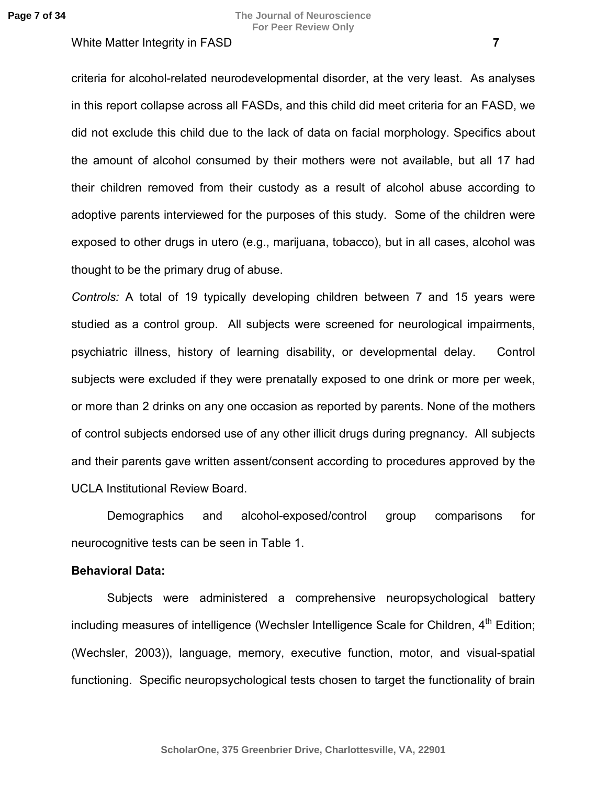criteria for alcohol-related neurodevelopmental disorder, at the very least. As analyses in this report collapse across all FASDs, and this child did meet criteria for an FASD, we did not exclude this child due to the lack of data on facial morphology. Specifics about the amount of alcohol consumed by their mothers were not available, but all 17 had their children removed from their custody as a result of alcohol abuse according to adoptive parents interviewed for the purposes of this study. Some of the children were exposed to other drugs in utero (e.g., marijuana, tobacco), but in all cases, alcohol was thought to be the primary drug of abuse.

*Controls:* A total of 19 typically developing children between 7 and 15 years were studied as a control group. All subjects were screened for neurological impairments, psychiatric illness, history of learning disability, or developmental delay. Control subjects were excluded if they were prenatally exposed to one drink or more per week, or more than 2 drinks on any one occasion as reported by parents. None of the mothers of control subjects endorsed use of any other illicit drugs during pregnancy. All subjects and their parents gave written assent/consent according to procedures approved by the UCLA Institutional Review Board.

Demographics and alcohol-exposed/control group comparisons for neurocognitive tests can be seen in Table 1.

#### **Behavioral Data:**

Subjects were administered a comprehensive neuropsychological battery including measures of intelligence (Wechsler Intelligence Scale for Children, 4<sup>th</sup> Edition; (Wechsler, 2003)), language, memory, executive function, motor, and visual-spatial functioning. Specific neuropsychological tests chosen to target the functionality of brain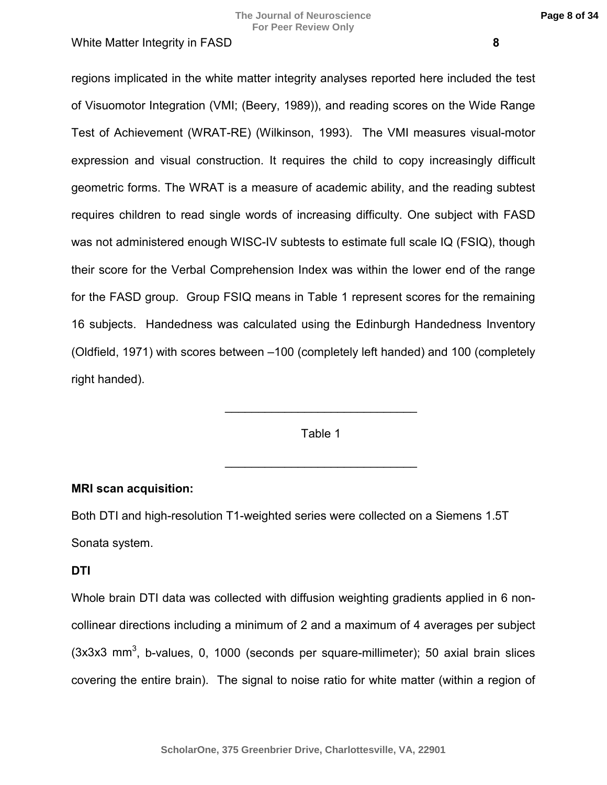regions implicated in the white matter integrity analyses reported here included the test of Visuomotor Integration (VMI; (Beery, 1989)), and reading scores on the Wide Range Test of Achievement (WRAT-RE) (Wilkinson, 1993). The VMI measures visual-motor expression and visual construction. It requires the child to copy increasingly difficult geometric forms. The WRAT is a measure of academic ability, and the reading subtest requires children to read single words of increasing difficulty. One subject with FASD was not administered enough WISC-IV subtests to estimate full scale IQ (FSIQ), though their score for the Verbal Comprehension Index was within the lower end of the range for the FASD group. Group FSIQ means in Table 1 represent scores for the remaining 16 subjects. Handedness was calculated using the Edinburgh Handedness Inventory (Oldfield, 1971) with scores between –100 (completely left handed) and 100 (completely right handed).

Table 1

 $\mathcal{L}=\mathcal{L}^{\text{max}}$  , where  $\mathcal{L}^{\text{max}}$  , we have the set of  $\mathcal{L}^{\text{max}}$ 

 $\mathcal{L}=\mathcal{L}^{\text{max}}$  , where  $\mathcal{L}^{\text{max}}$  , we have the set of  $\mathcal{L}^{\text{max}}$ 

# **MRI scan acquisition:**

Both DTI and high-resolution T1-weighted series were collected on a Siemens 1.5T Sonata system.

## **DTI**

Whole brain DTI data was collected with diffusion weighting gradients applied in 6 noncollinear directions including a minimum of 2 and a maximum of 4 averages per subject  $(3x3x3$  mm<sup>3</sup>, b-values, 0, 1000 (seconds per square-millimeter); 50 axial brain slices covering the entire brain). The signal to noise ratio for white matter (within a region of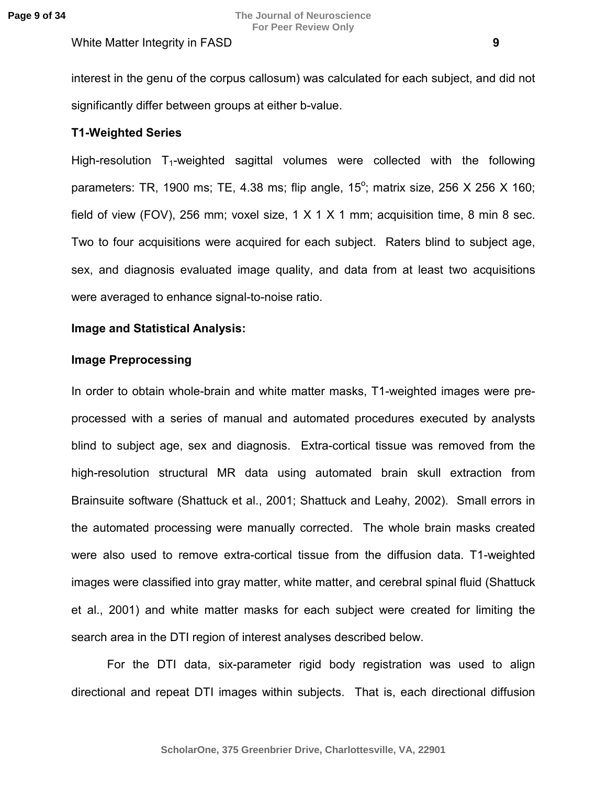interest in the genu of the corpus callosum) was calculated for each subject, and did not significantly differ between groups at either b-value.

# **T1-Weighted Series**

High-resolution  $T_1$ -weighted sagittal volumes were collected with the following parameters: TR, 1900 ms; TE, 4.38 ms; flip angle, 15<sup>°</sup>; matrix size, 256 X 256 X 160; field of view (FOV), 256 mm; voxel size, 1 X 1 X 1 mm; acquisition time, 8 min 8 sec. Two to four acquisitions were acquired for each subject. Raters blind to subject age, sex, and diagnosis evaluated image quality, and data from at least two acquisitions were averaged to enhance signal-to-noise ratio.

## **Image and Statistical Analysis:**

## **Image Preprocessing**

In order to obtain whole-brain and white matter masks, T1-weighted images were preprocessed with a series of manual and automated procedures executed by analysts blind to subject age, sex and diagnosis. Extra-cortical tissue was removed from the high-resolution structural MR data using automated brain skull extraction from Brainsuite software (Shattuck et al., 2001; Shattuck and Leahy, 2002). Small errors in the automated processing were manually corrected. The whole brain masks created were also used to remove extra-cortical tissue from the diffusion data. T1-weighted images were classified into gray matter, white matter, and cerebral spinal fluid (Shattuck et al., 2001) and white matter masks for each subject were created for limiting the search area in the DTI region of interest analyses described below.

For the DTI data, six-parameter rigid body registration was used to align directional and repeat DTI images within subjects. That is, each directional diffusion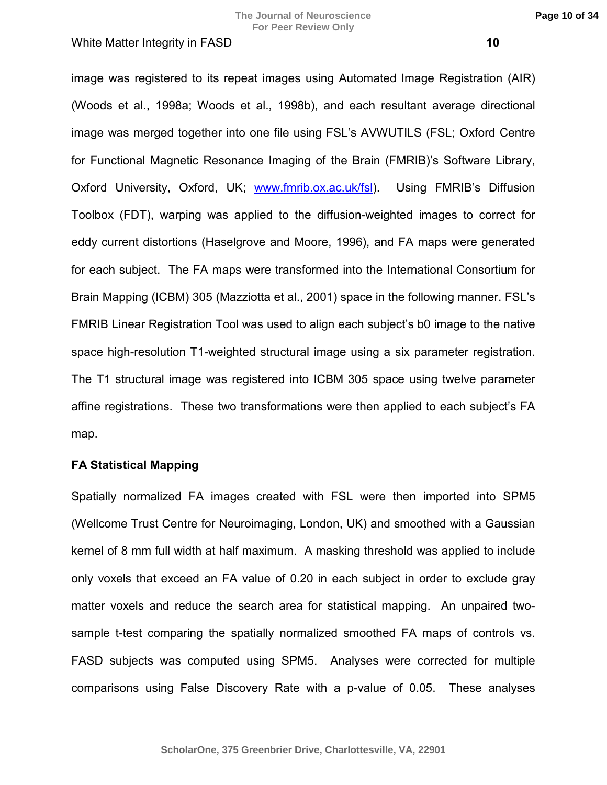image was registered to its repeat images using Automated Image Registration (AIR) (Woods et al., 1998a; Woods et al., 1998b), and each resultant average directional image was merged together into one file using FSL's AVWUTILS (FSL; Oxford Centre for Functional Magnetic Resonance Imaging of the Brain (FMRIB)'s Software Library, Oxford University, Oxford, UK; [www.fmrib.ox.ac.uk/fsl\)](http://www.fmrib.ox.ac.uk/fsl). Using FMRIB's Diffusion Toolbox (FDT), warping was applied to the diffusion-weighted images to correct for eddy current distortions (Haselgrove and Moore, 1996), and FA maps were generated for each subject. The FA maps were transformed into the International Consortium for Brain Mapping (ICBM) 305 (Mazziotta et al., 2001) space in the following manner. FSL's FMRIB Linear Registration Tool was used to align each subject's b0 image to the native space high-resolution T1-weighted structural image using a six parameter registration. The T1 structural image was registered into ICBM 305 space using twelve parameter affine registrations. These two transformations were then applied to each subject's FA map.

## **FA Statistical Mapping**

Spatially normalized FA images created with FSL were then imported into SPM5 (Wellcome Trust Centre for Neuroimaging, London, UK) and smoothed with a Gaussian kernel of 8 mm full width at half maximum. A masking threshold was applied to include only voxels that exceed an FA value of 0.20 in each subject in order to exclude gray matter voxels and reduce the search area for statistical mapping. An unpaired twosample t-test comparing the spatially normalized smoothed FA maps of controls vs. FASD subjects was computed using SPM5. Analyses were corrected for multiple comparisons using False Discovery Rate with a p-value of 0.05. These analyses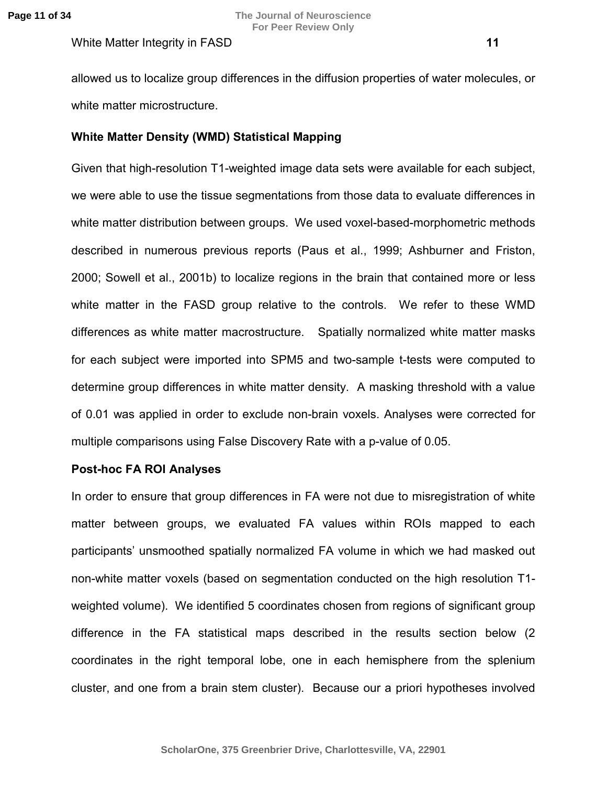allowed us to localize group differences in the diffusion properties of water molecules, or white matter microstructure.

## **White Matter Density (WMD) Statistical Mapping**

Given that high-resolution T1-weighted image data sets were available for each subject, we were able to use the tissue segmentations from those data to evaluate differences in white matter distribution between groups. We used voxel-based-morphometric methods described in numerous previous reports (Paus et al., 1999; Ashburner and Friston, 2000; Sowell et al., 2001b) to localize regions in the brain that contained more or less white matter in the FASD group relative to the controls. We refer to these WMD differences as white matter macrostructure. Spatially normalized white matter masks for each subject were imported into SPM5 and two-sample t-tests were computed to determine group differences in white matter density. A masking threshold with a value of 0.01 was applied in order to exclude non-brain voxels. Analyses were corrected for multiple comparisons using False Discovery Rate with a p-value of 0.05.

## **Post-hoc FA ROI Analyses**

In order to ensure that group differences in FA were not due to misregistration of white matter between groups, we evaluated FA values within ROIs mapped to each participants' unsmoothed spatially normalized FA volume in which we had masked out non-white matter voxels (based on segmentation conducted on the high resolution T1 weighted volume). We identified 5 coordinates chosen from regions of significant group difference in the FA statistical maps described in the results section below (2 coordinates in the right temporal lobe, one in each hemisphere from the splenium cluster, and one from a brain stem cluster). Because our a priori hypotheses involved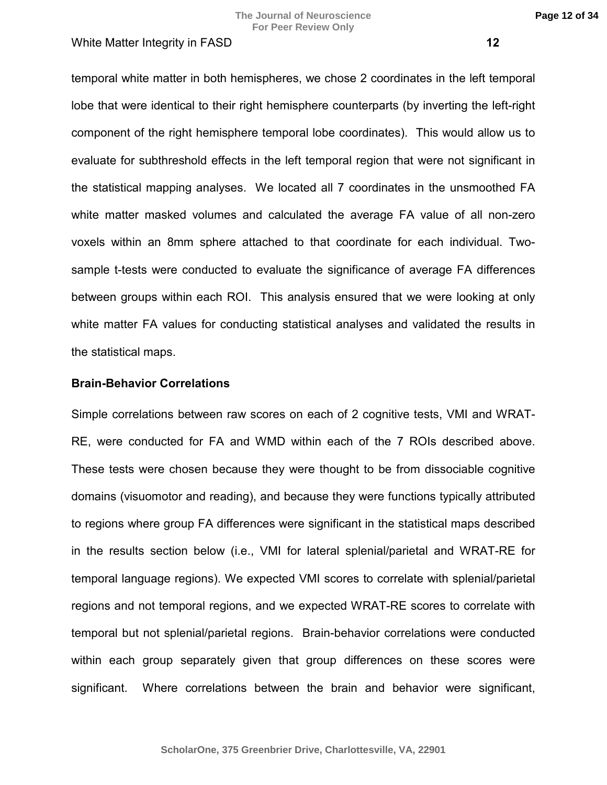temporal white matter in both hemispheres, we chose 2 coordinates in the left temporal lobe that were identical to their right hemisphere counterparts (by inverting the left-right component of the right hemisphere temporal lobe coordinates). This would allow us to evaluate for subthreshold effects in the left temporal region that were not significant in the statistical mapping analyses. We located all 7 coordinates in the unsmoothed FA white matter masked volumes and calculated the average FA value of all non-zero voxels within an 8mm sphere attached to that coordinate for each individual. Twosample t-tests were conducted to evaluate the significance of average FA differences between groups within each ROI. This analysis ensured that we were looking at only white matter FA values for conducting statistical analyses and validated the results in the statistical maps.

# **Brain-Behavior Correlations**

Simple correlations between raw scores on each of 2 cognitive tests, VMI and WRAT-RE, were conducted for FA and WMD within each of the 7 ROIs described above. These tests were chosen because they were thought to be from dissociable cognitive domains (visuomotor and reading), and because they were functions typically attributed to regions where group FA differences were significant in the statistical maps described in the results section below (i.e., VMI for lateral splenial/parietal and WRAT-RE for temporal language regions). We expected VMI scores to correlate with splenial/parietal regions and not temporal regions, and we expected WRAT-RE scores to correlate with temporal but not splenial/parietal regions. Brain-behavior correlations were conducted within each group separately given that group differences on these scores were significant. Where correlations between the brain and behavior were significant,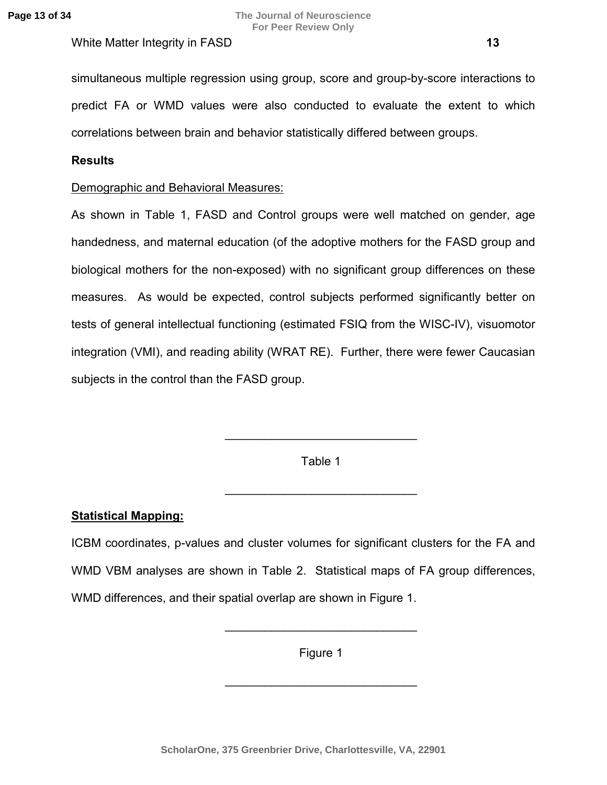## **Results**

# Demographic and Behavioral Measures:

As shown in Table 1, FASD and Control groups were well matched on gender, age handedness, and maternal education (of the adoptive mothers for the FASD group and biological mothers for the non-exposed) with no significant group differences on these measures. As would be expected, control subjects performed significantly better on tests of general intellectual functioning (estimated FSIQ from the WISC-IV), visuomotor integration (VMI), and reading ability (WRAT RE). Further, there were fewer Caucasian subjects in the control than the FASD group.

Table 1

 $\_$ 

 $\_$ 

# **Statistical Mapping:**

ICBM coordinates, p-values and cluster volumes for significant clusters for the FA and WMD VBM analyses are shown in Table 2. Statistical maps of FA group differences, WMD differences, and their spatial overlap are shown in Figure 1.

Figure 1

 $\mathcal{L}=\mathcal{L}^{\text{max}}$  , where  $\mathcal{L}^{\text{max}}$  , we have the set of  $\mathcal{L}^{\text{max}}$ 

 $\_$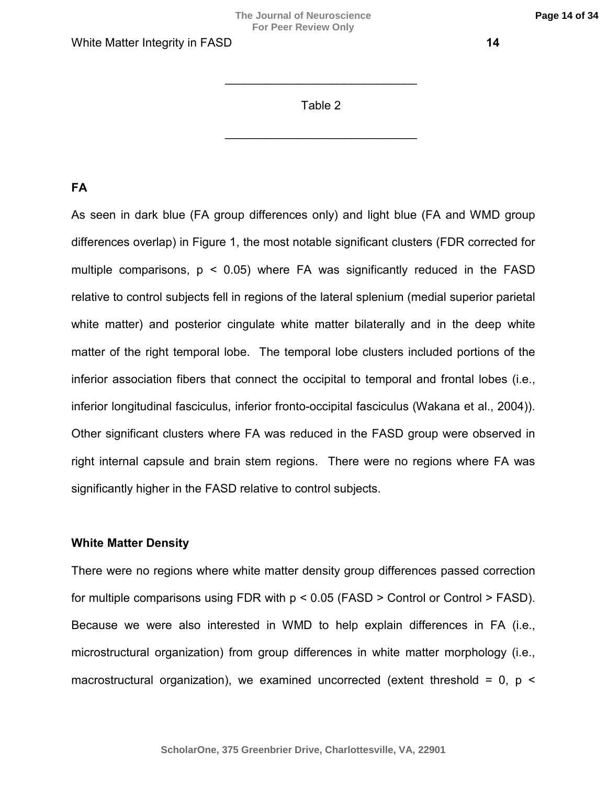## Table 2

 $\mathcal{L}=\mathcal{L}^{\text{max}}$  , where  $\mathcal{L}^{\text{max}}$  , we have the set of  $\mathcal{L}^{\text{max}}$ 

 $\_$ 

# **FA**

As seen in dark blue (FA group differences only) and light blue (FA and WMD group differences overlap) in Figure 1, the most notable significant clusters (FDR corrected for multiple comparisons,  $p \le 0.05$ ) where FA was significantly reduced in the FASD relative to control subjects fell in regions of the lateral splenium (medial superior parietal white matter) and posterior cingulate white matter bilaterally and in the deep white matter of the right temporal lobe. The temporal lobe clusters included portions of the inferior association fibers that connect the occipital to temporal and frontal lobes (i.e., inferior longitudinal fasciculus, inferior fronto-occipital fasciculus (Wakana et al., 2004)). Other significant clusters where FA was reduced in the FASD group were observed in right internal capsule and brain stem regions. There were no regions where FA was significantly higher in the FASD relative to control subjects.

## **White Matter Density**

There were no regions where white matter density group differences passed correction for multiple comparisons using FDR with  $p < 0.05$  (FASD  $>$  Control or Control  $>$  FASD). Because we were also interested in WMD to help explain differences in FA (i.e., microstructural organization) from group differences in white matter morphology (i.e., macrostructural organization), we examined uncorrected (extent threshold =  $0$ ,  $p$  <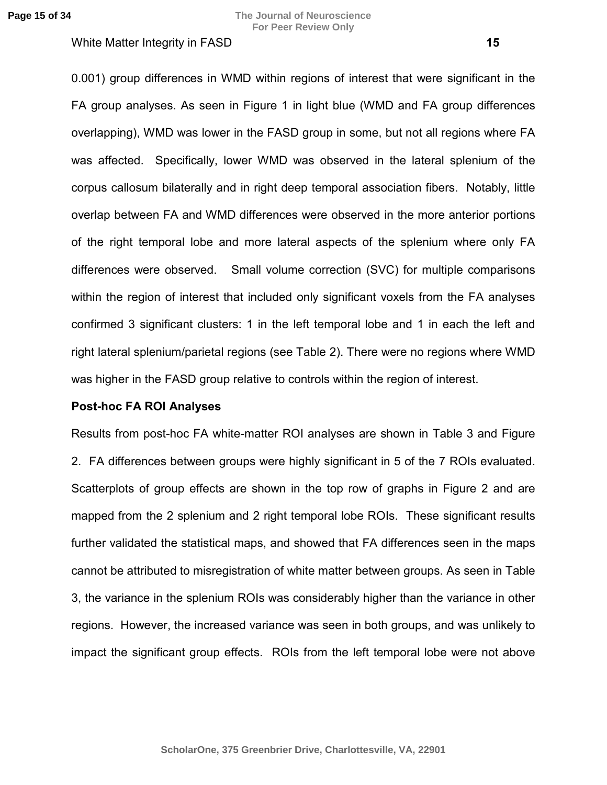0.001) group differences in WMD within regions of interest that were significant in the FA group analyses. As seen in Figure 1 in light blue (WMD and FA group differences overlapping), WMD was lower in the FASD group in some, but not all regions where FA was affected. Specifically, lower WMD was observed in the lateral splenium of the corpus callosum bilaterally and in right deep temporal association fibers. Notably, little overlap between FA and WMD differences were observed in the more anterior portions of the right temporal lobe and more lateral aspects of the splenium where only FA differences were observed. Small volume correction (SVC) for multiple comparisons within the region of interest that included only significant voxels from the FA analyses confirmed 3 significant clusters: 1 in the left temporal lobe and 1 in each the left and right lateral splenium/parietal regions (see Table 2). There were no regions where WMD was higher in the FASD group relative to controls within the region of interest.

## **Post-hoc FA ROI Analyses**

Results from post-hoc FA white-matter ROI analyses are shown in Table 3 and Figure 2. FA differences between groups were highly significant in 5 of the 7 ROIs evaluated. Scatterplots of group effects are shown in the top row of graphs in Figure 2 and are mapped from the 2 splenium and 2 right temporal lobe ROIs. These significant results further validated the statistical maps, and showed that FA differences seen in the maps cannot be attributed to misregistration of white matter between groups. As seen in Table 3, the variance in the splenium ROIs was considerably higher than the variance in other regions. However, the increased variance was seen in both groups, and was unlikely to impact the significant group effects. ROIs from the left temporal lobe were not above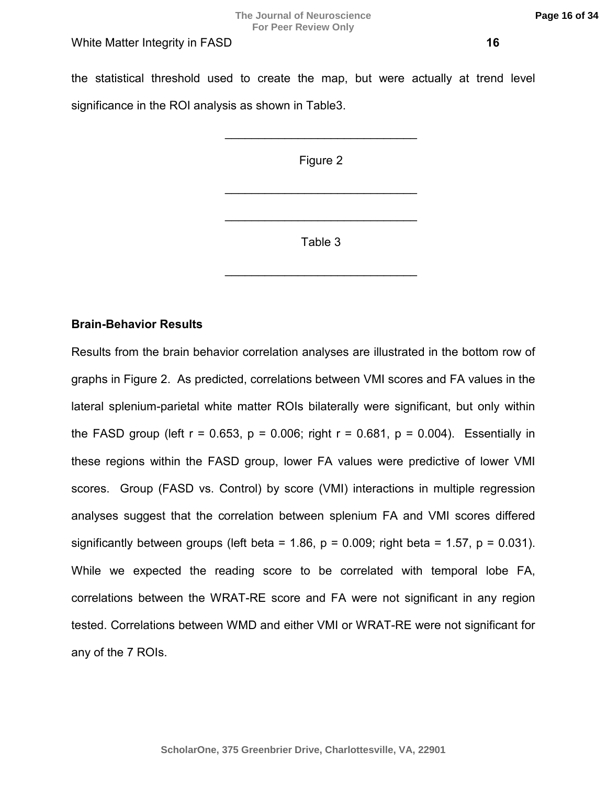the statistical threshold used to create the map, but were actually at trend level significance in the ROI analysis as shown in Table3.

Figure 2

 $\mathcal{L}=\mathcal{L}^{\mathcal{L}}$  , where  $\mathcal{L}^{\mathcal{L}}$  , we have the set of the set of the set of the set of the set of the set of the set of the set of the set of the set of the set of the set of the set of the set of the set of

 $\_$ 

 $\mathcal{L}=\mathcal{L}^{\mathcal{L}}$  , where  $\mathcal{L}^{\mathcal{L}}$  , we have the set of the set of the set of the set of the set of the set of the set of the set of the set of the set of the set of the set of the set of the set of the set of

Table 3

 $\mathcal{L}=\mathcal{L}^{\mathcal{L}}$  , where  $\mathcal{L}^{\mathcal{L}}$  , we have the set of the set of the set of the set of the set of the set of the set of the set of the set of the set of the set of the set of the set of the set of the set of

# **Brain-Behavior Results**

Results from the brain behavior correlation analyses are illustrated in the bottom row of graphs in Figure 2. As predicted, correlations between VMI scores and FA values in the lateral splenium-parietal white matter ROIs bilaterally were significant, but only within the FASD group (left  $r = 0.653$ ,  $p = 0.006$ ; right  $r = 0.681$ ,  $p = 0.004$ ). Essentially in these regions within the FASD group, lower FA values were predictive of lower VMI scores. Group (FASD vs. Control) by score (VMI) interactions in multiple regression analyses suggest that the correlation between splenium FA and VMI scores differed significantly between groups (left beta = 1.86,  $p = 0.009$ ; right beta = 1.57,  $p = 0.031$ ). While we expected the reading score to be correlated with temporal lobe FA, correlations between the WRAT-RE score and FA were not significant in any region tested. Correlations between WMD and either VMI or WRAT-RE were not significant for any of the 7 ROIs.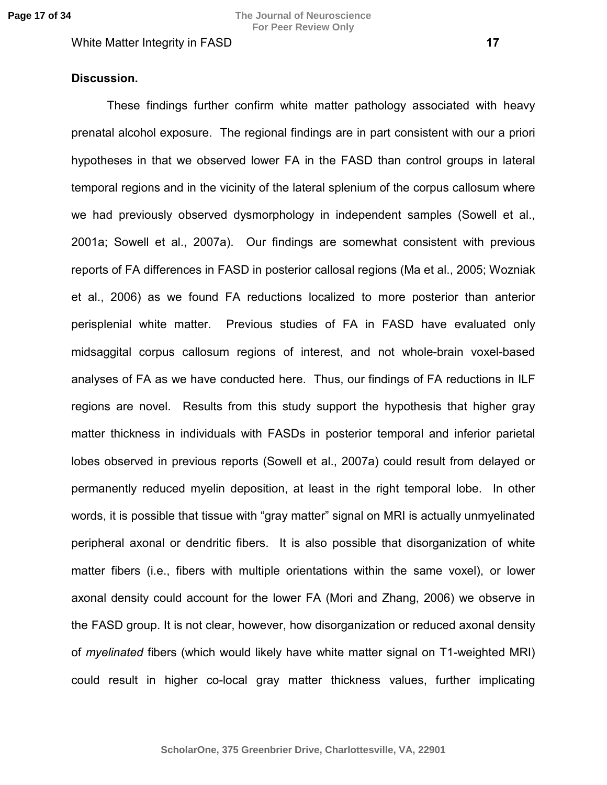# **Discussion.**

These findings further confirm white matter pathology associated with heavy prenatal alcohol exposure. The regional findings are in part consistent with our a priori hypotheses in that we observed lower FA in the FASD than control groups in lateral temporal regions and in the vicinity of the lateral splenium of the corpus callosum where we had previously observed dysmorphology in independent samples (Sowell et al., 2001a; Sowell et al., 2007a). Our findings are somewhat consistent with previous reports of FA differences in FASD in posterior callosal regions (Ma et al., 2005; Wozniak et al., 2006) as we found FA reductions localized to more posterior than anterior perisplenial white matter. Previous studies of FA in FASD have evaluated only midsaggital corpus callosum regions of interest, and not whole-brain voxel-based analyses of FA as we have conducted here. Thus, our findings of FA reductions in ILF regions are novel. Results from this study support the hypothesis that higher gray matter thickness in individuals with FASDs in posterior temporal and inferior parietal lobes observed in previous reports (Sowell et al., 2007a) could result from delayed or permanently reduced myelin deposition, at least in the right temporal lobe. In other words, it is possible that tissue with "gray matter" signal on MRI is actually unmyelinated peripheral axonal or dendritic fibers. It is also possible that disorganization of white matter fibers (i.e., fibers with multiple orientations within the same voxel), or lower axonal density could account for the lower FA (Mori and Zhang, 2006) we observe in the FASD group. It is not clear, however, how disorganization or reduced axonal density of *myelinated* fibers (which would likely have white matter signal on T1-weighted MRI) could result in higher co-local gray matter thickness values, further implicating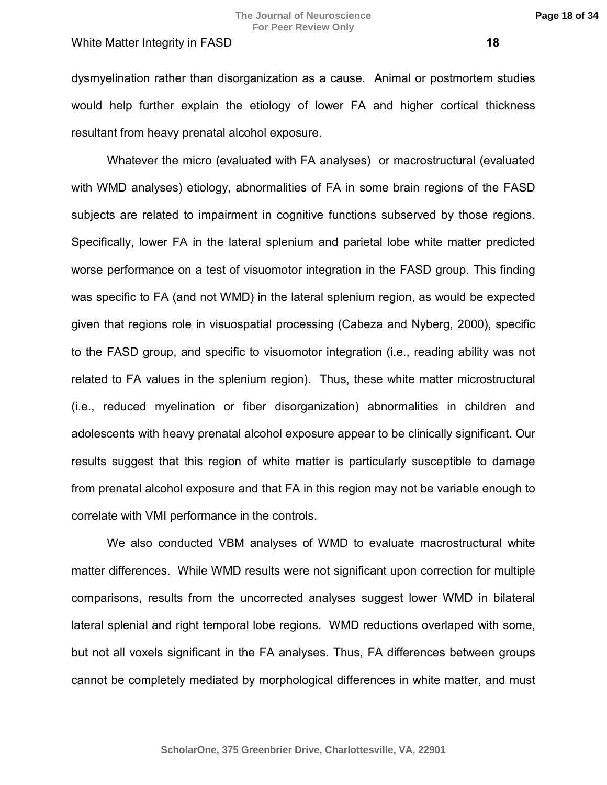**Page 18 of 34**

dysmyelination rather than disorganization as a cause. Animal or postmortem studies would help further explain the etiology of lower FA and higher cortical thickness resultant from heavy prenatal alcohol exposure.

Whatever the micro (evaluated with FA analyses) or macrostructural (evaluated with WMD analyses) etiology, abnormalities of FA in some brain regions of the FASD subjects are related to impairment in cognitive functions subserved by those regions. Specifically, lower FA in the lateral splenium and parietal lobe white matter predicted worse performance on a test of visuomotor integration in the FASD group. This finding was specific to FA (and not WMD) in the lateral splenium region, as would be expected given that regions role in visuospatial processing (Cabeza and Nyberg, 2000), specific to the FASD group, and specific to visuomotor integration (i.e., reading ability was not related to FA values in the splenium region). Thus, these white matter microstructural (i.e., reduced myelination or fiber disorganization) abnormalities in children and adolescents with heavy prenatal alcohol exposure appear to be clinically significant. Our results suggest that this region of white matter is particularly susceptible to damage from prenatal alcohol exposure and that FA in this region may not be variable enough to correlate with VMI performance in the controls.

We also conducted VBM analyses of WMD to evaluate macrostructural white matter differences. While WMD results were not significant upon correction for multiple comparisons, results from the uncorrected analyses suggest lower WMD in bilateral lateral splenial and right temporal lobe regions. WMD reductions overlaped with some, but not all voxels significant in the FA analyses. Thus, FA differences between groups cannot be completely mediated by morphological differences in white matter, and must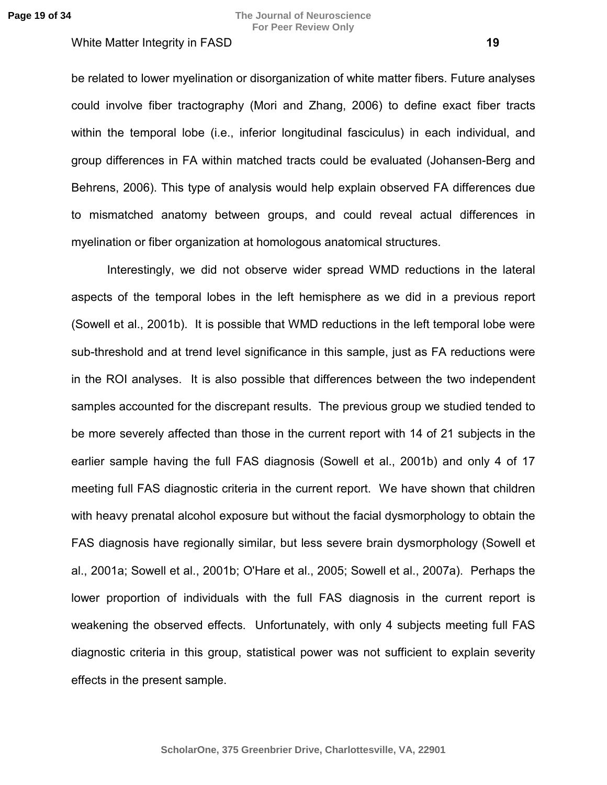be related to lower myelination or disorganization of white matter fibers. Future analyses could involve fiber tractography (Mori and Zhang, 2006) to define exact fiber tracts within the temporal lobe (i.e., inferior longitudinal fasciculus) in each individual, and group differences in FA within matched tracts could be evaluated (Johansen-Berg and Behrens, 2006). This type of analysis would help explain observed FA differences due to mismatched anatomy between groups, and could reveal actual differences in myelination or fiber organization at homologous anatomical structures.

Interestingly, we did not observe wider spread WMD reductions in the lateral aspects of the temporal lobes in the left hemisphere as we did in a previous report (Sowell et al., 2001b). It is possible that WMD reductions in the left temporal lobe were sub-threshold and at trend level significance in this sample, just as FA reductions were in the ROI analyses. It is also possible that differences between the two independent samples accounted for the discrepant results. The previous group we studied tended to be more severely affected than those in the current report with 14 of 21 subjects in the earlier sample having the full FAS diagnosis (Sowell et al., 2001b) and only 4 of 17 meeting full FAS diagnostic criteria in the current report. We have shown that children with heavy prenatal alcohol exposure but without the facial dysmorphology to obtain the FAS diagnosis have regionally similar, but less severe brain dysmorphology (Sowell et al., 2001a; Sowell et al., 2001b; O'Hare et al., 2005; Sowell et al., 2007a). Perhaps the lower proportion of individuals with the full FAS diagnosis in the current report is weakening the observed effects. Unfortunately, with only 4 subjects meeting full FAS diagnostic criteria in this group, statistical power was not sufficient to explain severity effects in the present sample.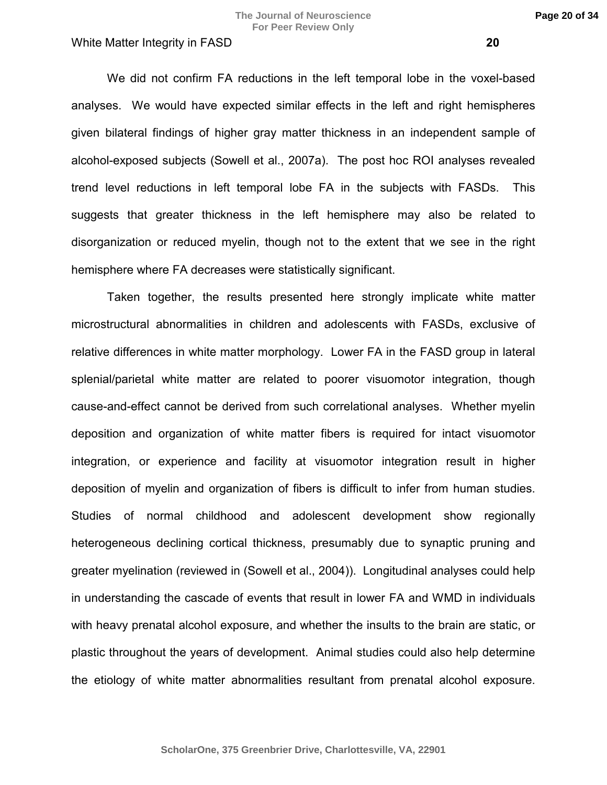We did not confirm FA reductions in the left temporal lobe in the voxel-based analyses. We would have expected similar effects in the left and right hemispheres given bilateral findings of higher gray matter thickness in an independent sample of alcohol-exposed subjects (Sowell et al., 2007a). The post hoc ROI analyses revealed trend level reductions in left temporal lobe FA in the subjects with FASDs. This suggests that greater thickness in the left hemisphere may also be related to disorganization or reduced myelin, though not to the extent that we see in the right hemisphere where FA decreases were statistically significant.

Taken together, the results presented here strongly implicate white matter microstructural abnormalities in children and adolescents with FASDs, exclusive of relative differences in white matter morphology. Lower FA in the FASD group in lateral splenial/parietal white matter are related to poorer visuomotor integration, though cause-and-effect cannot be derived from such correlational analyses. Whether myelin deposition and organization of white matter fibers is required for intact visuomotor integration, or experience and facility at visuomotor integration result in higher deposition of myelin and organization of fibers is difficult to infer from human studies. Studies of normal childhood and adolescent development show regionally heterogeneous declining cortical thickness, presumably due to synaptic pruning and greater myelination (reviewed in (Sowell et al., 2004)). Longitudinal analyses could help in understanding the cascade of events that result in lower FA and WMD in individuals with heavy prenatal alcohol exposure, and whether the insults to the brain are static, or plastic throughout the years of development. Animal studies could also help determine the etiology of white matter abnormalities resultant from prenatal alcohol exposure.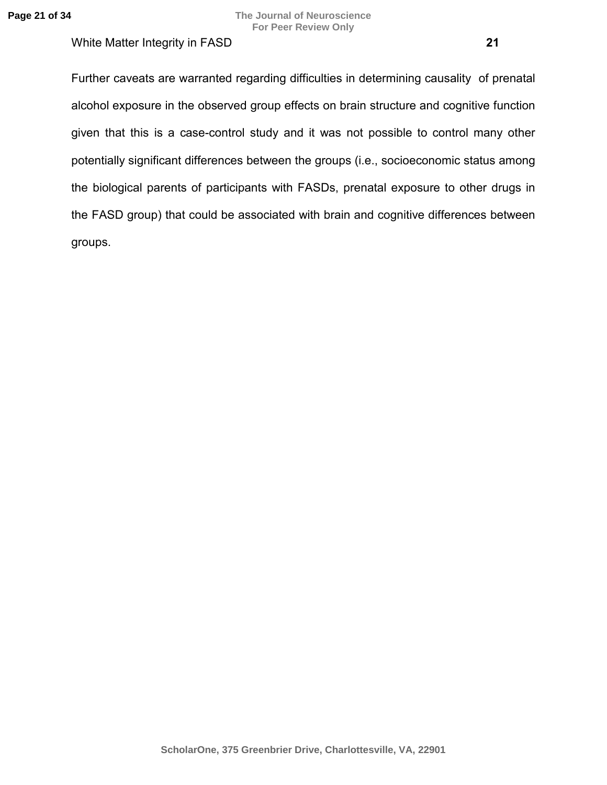Further caveats are warranted regarding difficulties in determining causality of prenatal alcohol exposure in the observed group effects on brain structure and cognitive function given that this is a case-control study and it was not possible to control many other potentially significant differences between the groups (i.e., socioeconomic status among the biological parents of participants with FASDs, prenatal exposure to other drugs in the FASD group) that could be associated with brain and cognitive differences between groups.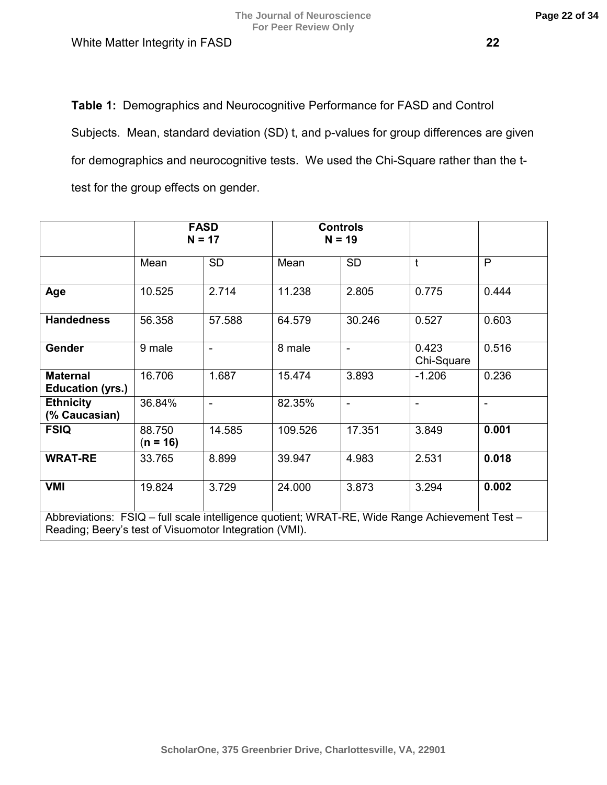**Table 1:** Demographics and Neurocognitive Performance for FASD and Control Subjects. Mean, standard deviation (SD) t, and p-values for group differences are given for demographics and neurocognitive tests. We used the Chi-Square rather than the ttest for the group effects on gender.

|                                                                                                                                                          | <b>FASD</b><br>$N = 17$ |                |         | <b>Controls</b><br>$N = 19$ |                     |                          |
|----------------------------------------------------------------------------------------------------------------------------------------------------------|-------------------------|----------------|---------|-----------------------------|---------------------|--------------------------|
|                                                                                                                                                          | Mean                    | <b>SD</b>      | Mean    | <b>SD</b>                   | t                   | P                        |
| Age                                                                                                                                                      | 10.525                  | 2.714          | 11.238  | 2.805                       | 0.775               | 0.444                    |
| <b>Handedness</b>                                                                                                                                        | 56.358                  | 57.588         | 64.579  | 30.246                      | 0.527               | 0.603                    |
| <b>Gender</b>                                                                                                                                            | 9 male                  | $\blacksquare$ | 8 male  | $\blacksquare$              | 0.423<br>Chi-Square | 0.516                    |
| <b>Maternal</b><br><b>Education (yrs.)</b>                                                                                                               | 16.706                  | 1.687          | 15.474  | 3.893                       | $-1.206$            | 0.236                    |
| <b>Ethnicity</b><br>(% Caucasian)                                                                                                                        | 36.84%                  | $\blacksquare$ | 82.35%  | $\blacksquare$              | -                   | $\overline{\phantom{a}}$ |
| <b>FSIQ</b>                                                                                                                                              | 88.750<br>$(n = 16)$    | 14.585         | 109.526 | 17.351                      | 3.849               | 0.001                    |
| <b>WRAT-RE</b>                                                                                                                                           | 33.765                  | 8.899          | 39.947  | 4.983                       | 2.531               | 0.018                    |
| <b>VMI</b>                                                                                                                                               | 19.824                  | 3.729          | 24.000  | 3.873                       | 3.294               | 0.002                    |
| Abbreviations: FSIQ - full scale intelligence quotient; WRAT-RE, Wide Range Achievement Test -<br>Reading; Beery's test of Visuomotor Integration (VMI). |                         |                |         |                             |                     |                          |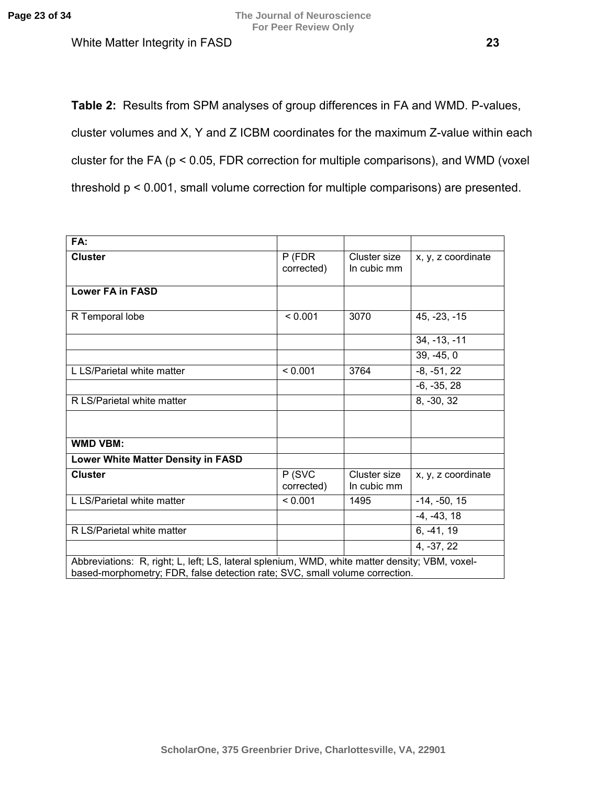**The Journal of Neuroscience For Peer Review Only**

White Matter Integrity in FASD **23** 

**Table 2:** Results from SPM analyses of group differences in FA and WMD. P-values, cluster volumes and X, Y and Z ICBM coordinates for the maximum Z-value within each cluster for the FA (p < 0.05, FDR correction for multiple comparisons), and WMD (voxel threshold p < 0.001, small volume correction for multiple comparisons) are presented.

| FA:                                                                                                                                                                           |                        |                             |                    |  |  |
|-------------------------------------------------------------------------------------------------------------------------------------------------------------------------------|------------------------|-----------------------------|--------------------|--|--|
| <b>Cluster</b>                                                                                                                                                                | $P$ (FDR<br>corrected) | Cluster size<br>In cubic mm | x, y, z coordinate |  |  |
| <b>Lower FA in FASD</b>                                                                                                                                                       |                        |                             |                    |  |  |
| R Temporal lobe                                                                                                                                                               | < 0.001                | 3070                        | $45, -23, -15$     |  |  |
|                                                                                                                                                                               |                        |                             | $34, -13, -11$     |  |  |
|                                                                                                                                                                               |                        |                             | $39, -45, 0$       |  |  |
| L LS/Parietal white matter                                                                                                                                                    | < 0.001                | 3764                        | $-8, -51, 22$      |  |  |
|                                                                                                                                                                               |                        |                             | $-6, -35, 28$      |  |  |
| R LS/Parietal white matter                                                                                                                                                    |                        |                             | 8, -30, 32         |  |  |
|                                                                                                                                                                               |                        |                             |                    |  |  |
| <b>WMD VBM:</b>                                                                                                                                                               |                        |                             |                    |  |  |
| Lower White Matter Density in FASD                                                                                                                                            |                        |                             |                    |  |  |
| <b>Cluster</b>                                                                                                                                                                | P (SVC<br>corrected)   | Cluster size<br>In cubic mm | x, y, z coordinate |  |  |
| L LS/Parietal white matter                                                                                                                                                    | < 0.001                | 1495                        | $-14, -50, 15$     |  |  |
|                                                                                                                                                                               |                        |                             | $-4, -43, 18$      |  |  |
| R LS/Parietal white matter                                                                                                                                                    |                        |                             | $6, -41, 19$       |  |  |
|                                                                                                                                                                               |                        |                             | 4, -37, 22         |  |  |
| Abbreviations: R, right; L, left; LS, lateral splenium, WMD, white matter density; VBM, voxel-<br>based-morphometry; FDR, false detection rate; SVC, small volume correction. |                        |                             |                    |  |  |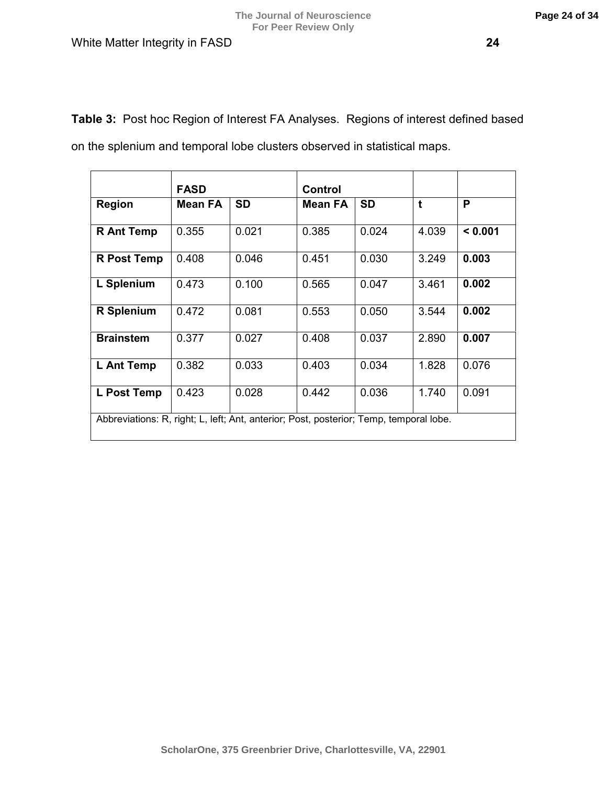**Table 3:** Post hoc Region of Interest FA Analyses. Regions of interest defined based

on the splenium and temporal lobe clusters observed in statistical maps.

|                                                                                        | <b>FASD</b> |           | <b>Control</b> |           |       |         |
|----------------------------------------------------------------------------------------|-------------|-----------|----------------|-----------|-------|---------|
| <b>Region</b>                                                                          | Mean FA     | <b>SD</b> | Mean FA        | <b>SD</b> | t     | P       |
| <b>R</b> Ant Temp                                                                      | 0.355       | 0.021     | 0.385          | 0.024     | 4.039 | < 0.001 |
| <b>R</b> Post Temp                                                                     | 0.408       | 0.046     | 0.451          | 0.030     | 3.249 | 0.003   |
| L Splenium                                                                             | 0.473       | 0.100     | 0.565          | 0.047     | 3.461 | 0.002   |
| <b>R</b> Splenium                                                                      | 0.472       | 0.081     | 0.553          | 0.050     | 3.544 | 0.002   |
| <b>Brainstem</b>                                                                       | 0.377       | 0.027     | 0.408          | 0.037     | 2.890 | 0.007   |
| L Ant Temp                                                                             | 0.382       | 0.033     | 0.403          | 0.034     | 1.828 | 0.076   |
| L Post Temp                                                                            | 0.423       | 0.028     | 0.442          | 0.036     | 1.740 | 0.091   |
| Abbreviations: R, right; L, left; Ant, anterior; Post, posterior; Temp, temporal lobe. |             |           |                |           |       |         |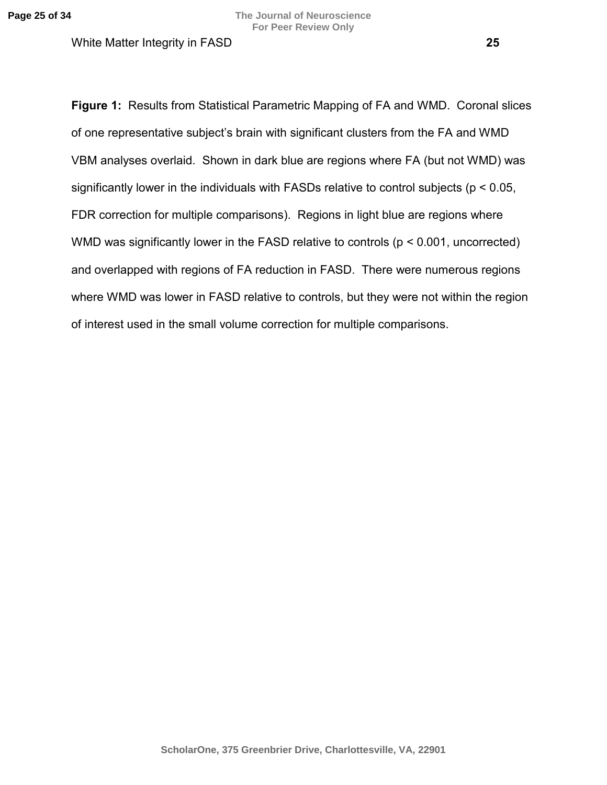**Figure 1:** Results from Statistical Parametric Mapping of FA and WMD. Coronal slices of one representative subject's brain with significant clusters from the FA and WMD VBM analyses overlaid. Shown in dark blue are regions where FA (but not WMD) was significantly lower in the individuals with FASDs relative to control subjects (p < 0.05, FDR correction for multiple comparisons). Regions in light blue are regions where WMD was significantly lower in the FASD relative to controls ( $p < 0.001$ , uncorrected) and overlapped with regions of FA reduction in FASD. There were numerous regions where WMD was lower in FASD relative to controls, but they were not within the region of interest used in the small volume correction for multiple comparisons.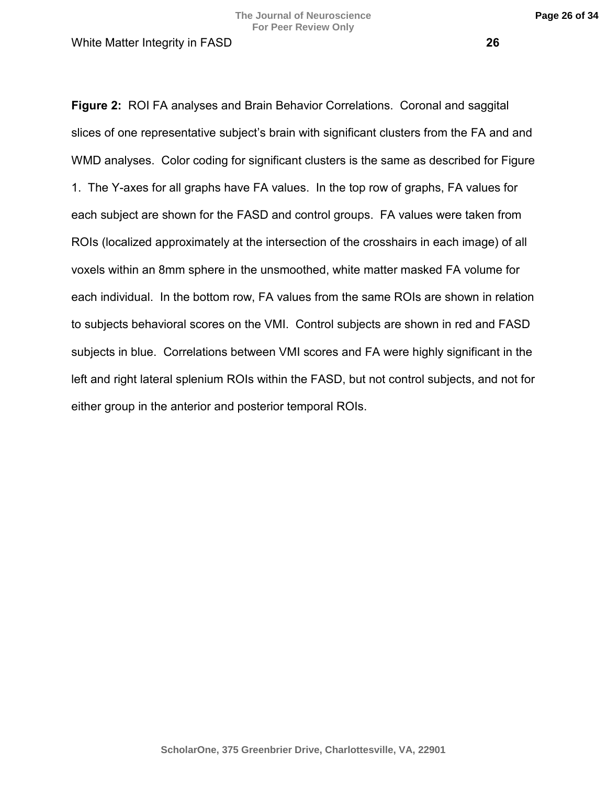**Figure 2:** ROI FA analyses and Brain Behavior Correlations. Coronal and saggital slices of one representative subject's brain with significant clusters from the FA and and WMD analyses. Color coding for significant clusters is the same as described for Figure 1. The Y-axes for all graphs have FA values. In the top row of graphs, FA values for each subject are shown for the FASD and control groups. FA values were taken from ROIs (localized approximately at the intersection of the crosshairs in each image) of all voxels within an 8mm sphere in the unsmoothed, white matter masked FA volume for each individual. In the bottom row, FA values from the same ROIs are shown in relation to subjects behavioral scores on the VMI. Control subjects are shown in red and FASD subjects in blue. Correlations between VMI scores and FA were highly significant in the left and right lateral splenium ROIs within the FASD, but not control subjects, and not for either group in the anterior and posterior temporal ROIs.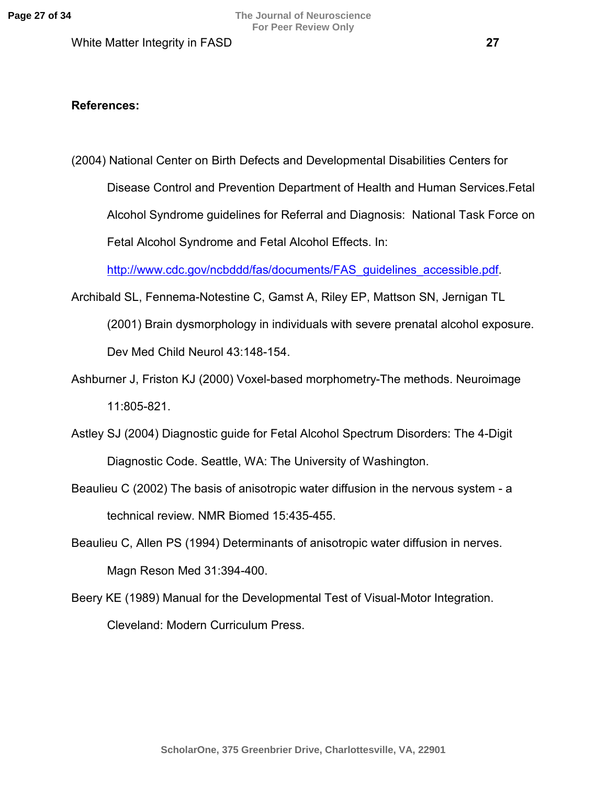## **References:**

(2004) National Center on Birth Defects and Developmental Disabilities Centers for Disease Control and Prevention Department of Health and Human Services.Fetal Alcohol Syndrome guidelines for Referral and Diagnosis: National Task Force on Fetal Alcohol Syndrome and Fetal Alcohol Effects. In:

[http://www.cdc.gov/ncbddd/fas/documents/FAS\\_guidelines\\_accessible.pdf](http://www.cdc.gov/ncbddd/fas/documents/FAS_guidelines_accessible.pdf).

- Archibald SL, Fennema-Notestine C, Gamst A, Riley EP, Mattson SN, Jernigan TL (2001) Brain dysmorphology in individuals with severe prenatal alcohol exposure. Dev Med Child Neurol 43:148-154.
- Ashburner J, Friston KJ (2000) Voxel-based morphometry-The methods. Neuroimage 11:805-821.
- Astley SJ (2004) Diagnostic guide for Fetal Alcohol Spectrum Disorders: The 4-Digit Diagnostic Code. Seattle, WA: The University of Washington.
- Beaulieu C (2002) The basis of anisotropic water diffusion in the nervous system a technical review. NMR Biomed 15:435-455.
- Beaulieu C, Allen PS (1994) Determinants of anisotropic water diffusion in nerves. Magn Reson Med 31:394-400.
- Beery KE (1989) Manual for the Developmental Test of Visual-Motor Integration. Cleveland: Modern Curriculum Press.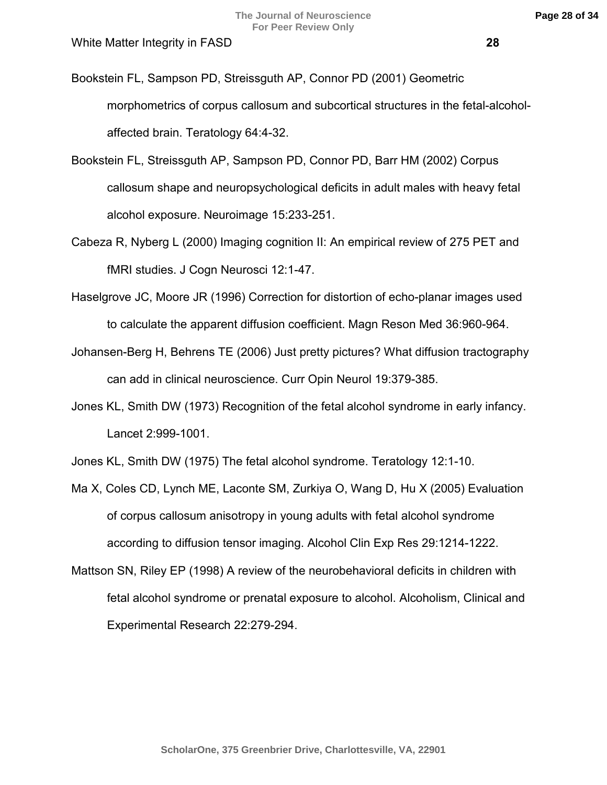- Bookstein FL, Sampson PD, Streissguth AP, Connor PD (2001) Geometric morphometrics of corpus callosum and subcortical structures in the fetal-alcoholaffected brain. Teratology 64:4-32.
- Bookstein FL, Streissguth AP, Sampson PD, Connor PD, Barr HM (2002) Corpus callosum shape and neuropsychological deficits in adult males with heavy fetal alcohol exposure. Neuroimage 15:233-251.
- Cabeza R, Nyberg L (2000) Imaging cognition II: An empirical review of 275 PET and fMRI studies. J Cogn Neurosci 12:1-47.
- Haselgrove JC, Moore JR (1996) Correction for distortion of echo-planar images used to calculate the apparent diffusion coefficient. Magn Reson Med 36:960-964.
- Johansen-Berg H, Behrens TE (2006) Just pretty pictures? What diffusion tractography can add in clinical neuroscience. Curr Opin Neurol 19:379-385.
- Jones KL, Smith DW (1973) Recognition of the fetal alcohol syndrome in early infancy. Lancet 2:999-1001.
- Jones KL, Smith DW (1975) The fetal alcohol syndrome. Teratology 12:1-10.
- Ma X, Coles CD, Lynch ME, Laconte SM, Zurkiya O, Wang D, Hu X (2005) Evaluation of corpus callosum anisotropy in young adults with fetal alcohol syndrome according to diffusion tensor imaging. Alcohol Clin Exp Res 29:1214-1222.
- Mattson SN, Riley EP (1998) A review of the neurobehavioral deficits in children with fetal alcohol syndrome or prenatal exposure to alcohol. Alcoholism, Clinical and Experimental Research 22:279-294.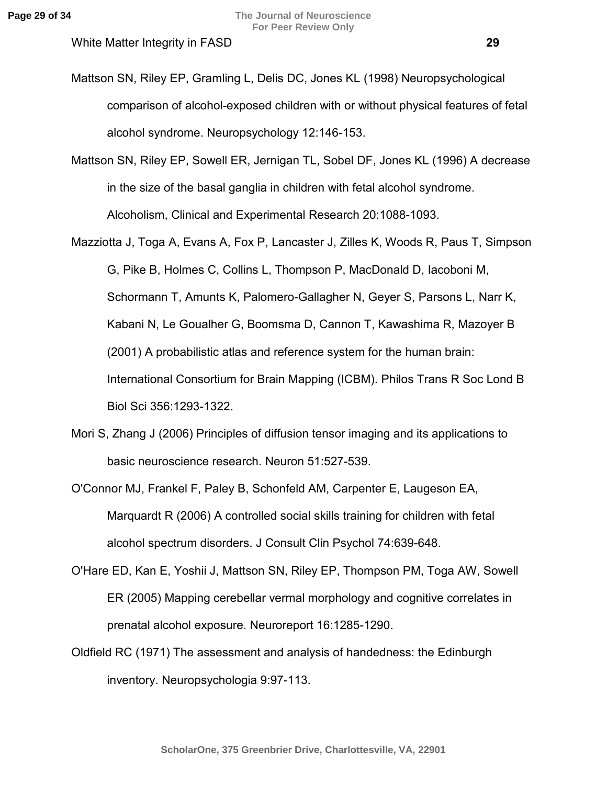- Mattson SN, Riley EP, Gramling L, Delis DC, Jones KL (1998) Neuropsychological comparison of alcohol-exposed children with or without physical features of fetal alcohol syndrome. Neuropsychology 12:146-153.
- Mattson SN, Riley EP, Sowell ER, Jernigan TL, Sobel DF, Jones KL (1996) A decrease in the size of the basal ganglia in children with fetal alcohol syndrome. Alcoholism, Clinical and Experimental Research 20:1088-1093.
- Mazziotta J, Toga A, Evans A, Fox P, Lancaster J, Zilles K, Woods R, Paus T, Simpson G, Pike B, Holmes C, Collins L, Thompson P, MacDonald D, Iacoboni M, Schormann T, Amunts K, Palomero-Gallagher N, Geyer S, Parsons L, Narr K, Kabani N, Le Goualher G, Boomsma D, Cannon T, Kawashima R, Mazoyer B (2001) A probabilistic atlas and reference system for the human brain: International Consortium for Brain Mapping (ICBM). Philos Trans R Soc Lond B Biol Sci 356:1293-1322.
- Mori S, Zhang J (2006) Principles of diffusion tensor imaging and its applications to basic neuroscience research. Neuron 51:527-539.
- O'Connor MJ, Frankel F, Paley B, Schonfeld AM, Carpenter E, Laugeson EA, Marquardt R (2006) A controlled social skills training for children with fetal alcohol spectrum disorders. J Consult Clin Psychol 74:639-648.
- O'Hare ED, Kan E, Yoshii J, Mattson SN, Riley EP, Thompson PM, Toga AW, Sowell ER (2005) Mapping cerebellar vermal morphology and cognitive correlates in prenatal alcohol exposure. Neuroreport 16:1285-1290.
- Oldfield RC (1971) The assessment and analysis of handedness: the Edinburgh inventory. Neuropsychologia 9:97-113.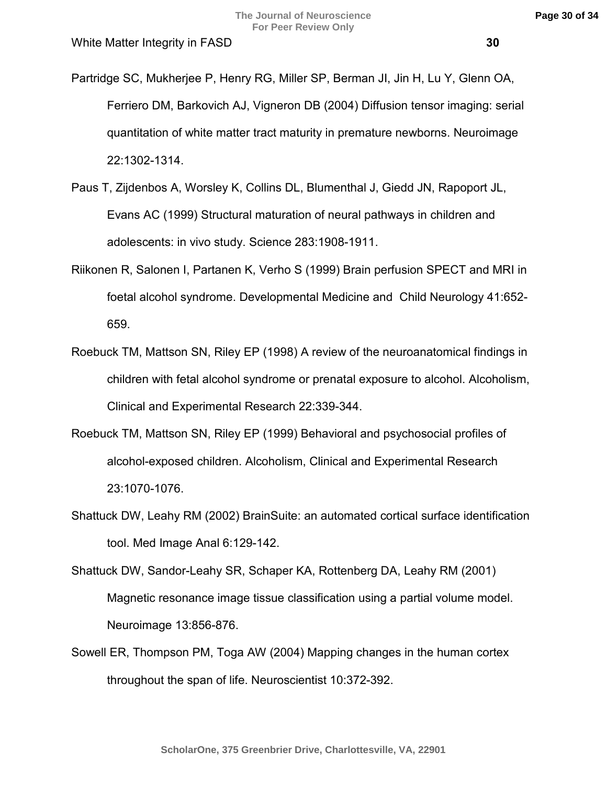- Partridge SC, Mukherjee P, Henry RG, Miller SP, Berman JI, Jin H, Lu Y, Glenn OA, Ferriero DM, Barkovich AJ, Vigneron DB (2004) Diffusion tensor imaging: serial quantitation of white matter tract maturity in premature newborns. Neuroimage 22:1302-1314.
- Paus T, Zijdenbos A, Worsley K, Collins DL, Blumenthal J, Giedd JN, Rapoport JL, Evans AC (1999) Structural maturation of neural pathways in children and adolescents: in vivo study. Science 283:1908-1911.
- Riikonen R, Salonen I, Partanen K, Verho S (1999) Brain perfusion SPECT and MRI in foetal alcohol syndrome. Developmental Medicine and Child Neurology 41:652- 659.
- Roebuck TM, Mattson SN, Riley EP (1998) A review of the neuroanatomical findings in children with fetal alcohol syndrome or prenatal exposure to alcohol. Alcoholism, Clinical and Experimental Research 22:339-344.
- Roebuck TM, Mattson SN, Riley EP (1999) Behavioral and psychosocial profiles of alcohol-exposed children. Alcoholism, Clinical and Experimental Research 23:1070-1076.
- Shattuck DW, Leahy RM (2002) BrainSuite: an automated cortical surface identification tool. Med Image Anal 6:129-142.
- Shattuck DW, Sandor-Leahy SR, Schaper KA, Rottenberg DA, Leahy RM (2001) Magnetic resonance image tissue classification using a partial volume model. Neuroimage 13:856-876.
- Sowell ER, Thompson PM, Toga AW (2004) Mapping changes in the human cortex throughout the span of life. Neuroscientist 10:372-392.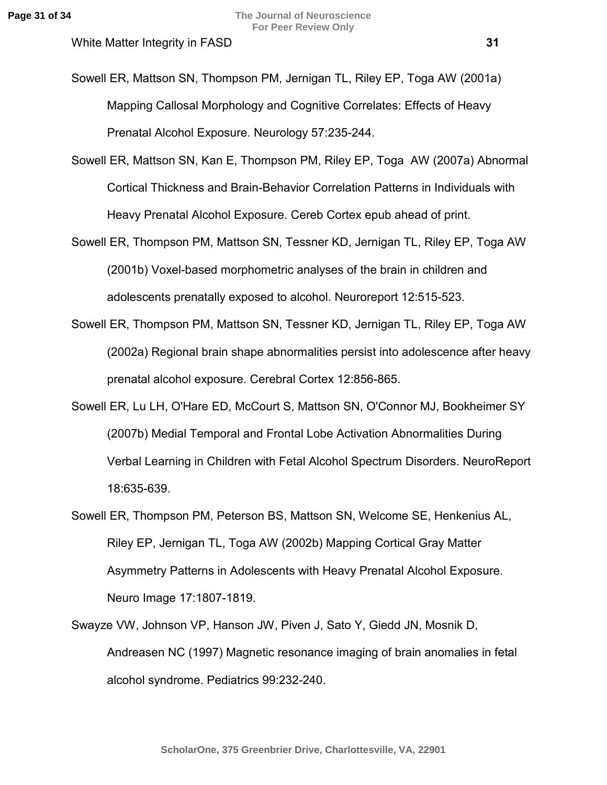- Sowell ER, Mattson SN, Thompson PM, Jernigan TL, Riley EP, Toga AW (2001a) Mapping Callosal Morphology and Cognitive Correlates: Effects of Heavy Prenatal Alcohol Exposure. Neurology 57:235-244.
- Sowell ER, Mattson SN, Kan E, Thompson PM, Riley EP, Toga AW (2007a) Abnormal Cortical Thickness and Brain-Behavior Correlation Patterns in Individuals with Heavy Prenatal Alcohol Exposure. Cereb Cortex epub ahead of print.
- Sowell ER, Thompson PM, Mattson SN, Tessner KD, Jernigan TL, Riley EP, Toga AW (2001b) Voxel-based morphometric analyses of the brain in children and adolescents prenatally exposed to alcohol. Neuroreport 12:515-523.
- Sowell ER, Thompson PM, Mattson SN, Tessner KD, Jernigan TL, Riley EP, Toga AW (2002a) Regional brain shape abnormalities persist into adolescence after heavy prenatal alcohol exposure. Cerebral Cortex 12:856-865.
- Sowell ER, Lu LH, O'Hare ED, McCourt S, Mattson SN, O'Connor MJ, Bookheimer SY (2007b) Medial Temporal and Frontal Lobe Activation Abnormalities During Verbal Learning in Children with Fetal Alcohol Spectrum Disorders. NeuroReport 18:635-639.
- Sowell ER, Thompson PM, Peterson BS, Mattson SN, Welcome SE, Henkenius AL, Riley EP, Jernigan TL, Toga AW (2002b) Mapping Cortical Gray Matter Asymmetry Patterns in Adolescents with Heavy Prenatal Alcohol Exposure. Neuro Image 17:1807-1819.
- Swayze VW, Johnson VP, Hanson JW, Piven J, Sato Y, Giedd JN, Mosnik D, Andreasen NC (1997) Magnetic resonance imaging of brain anomalies in fetal alcohol syndrome. Pediatrics 99:232-240.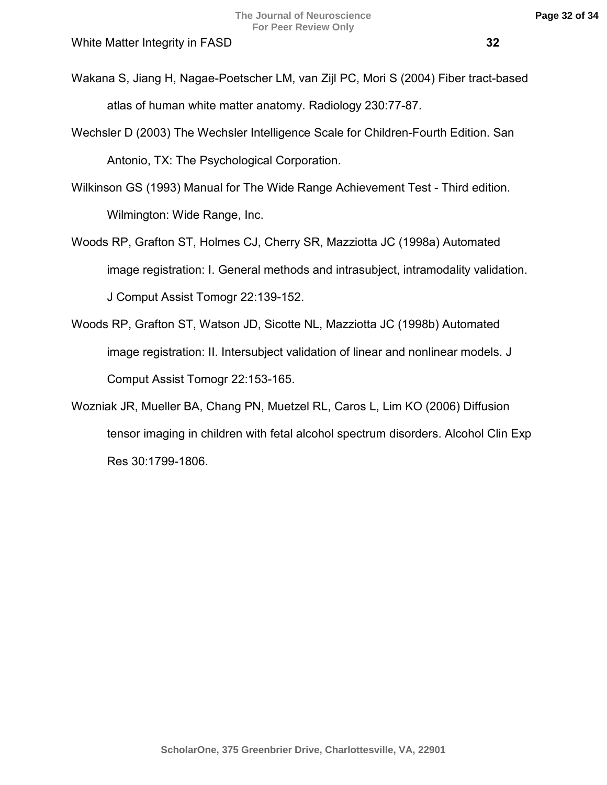- Wakana S, Jiang H, Nagae-Poetscher LM, van Zijl PC, Mori S (2004) Fiber tract-based atlas of human white matter anatomy. Radiology 230:77-87.
- Wechsler D (2003) The Wechsler Intelligence Scale for Children-Fourth Edition. San Antonio, TX: The Psychological Corporation.
- Wilkinson GS (1993) Manual for The Wide Range Achievement Test Third edition. Wilmington: Wide Range, Inc.
- Woods RP, Grafton ST, Holmes CJ, Cherry SR, Mazziotta JC (1998a) Automated image registration: I. General methods and intrasubject, intramodality validation. J Comput Assist Tomogr 22:139-152.
- Woods RP, Grafton ST, Watson JD, Sicotte NL, Mazziotta JC (1998b) Automated image registration: II. Intersubject validation of linear and nonlinear models. J Comput Assist Tomogr 22:153-165.
- Wozniak JR, Mueller BA, Chang PN, Muetzel RL, Caros L, Lim KO (2006) Diffusion tensor imaging in children with fetal alcohol spectrum disorders. Alcohol Clin Exp Res 30:1799-1806.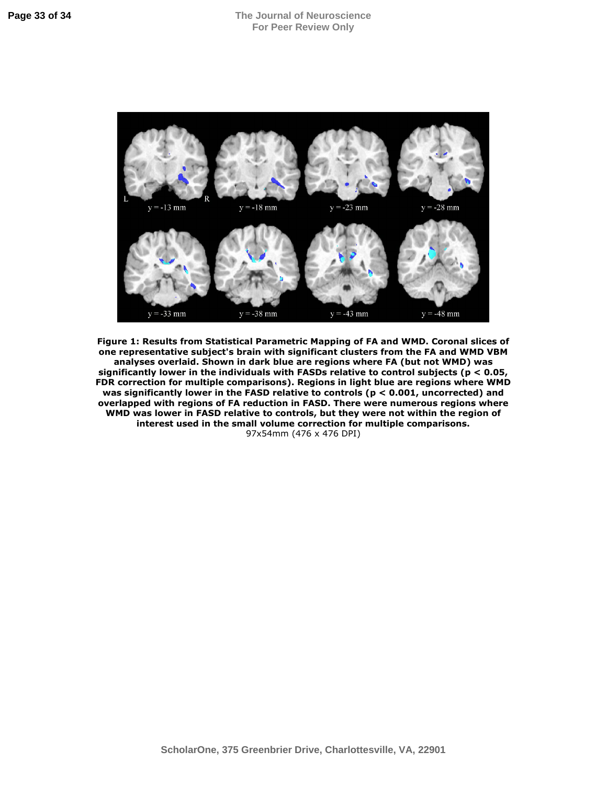

**Figure 1: Results from Statistical Parametric Mapping of FA and WMD. Coronal slices of one representative subject's brain with significant clusters from the FA and WMD VBM analyses overlaid. Shown in dark blue are regions where FA (but not WMD) was significantly lower in the individuals with FASDs relative to control subjects (p < 0.05, FDR correction for multiple comparisons). Regions in light blue are regions where WMD was significantly lower in the FASD relative to controls (p < 0.001, uncorrected) and overlapped with regions of FA reduction in FASD. There were numerous regions where WMD was lower in FASD relative to controls, but they were not within the region of interest used in the small volume correction for multiple comparisons.**  97x54mm (476 x 476 DPI)